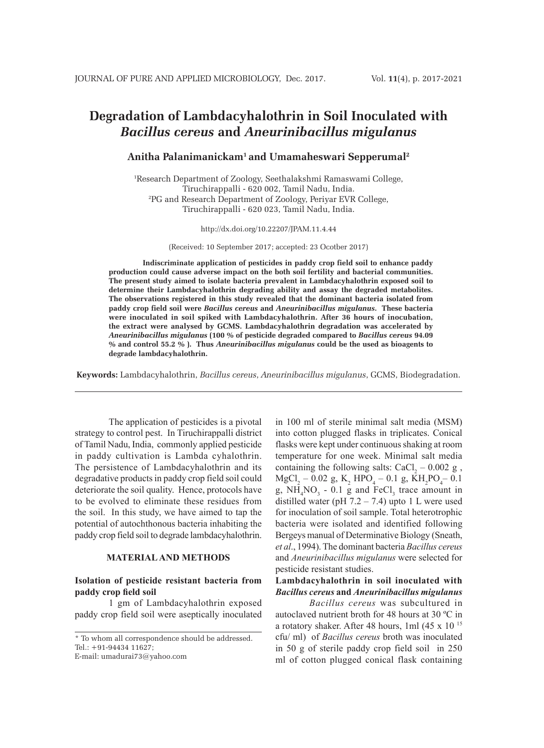# **Degradation of Lambdacyhalothrin in Soil Inoculated with**  *Bacillus cereus* **and** *Aneurinibacillus migulanus*

# **Anitha Palanimanickam1 and Umamaheswari Sepperumal2**

1 Research Department of Zoology, Seethalakshmi Ramaswami College, Tiruchirappalli - 620 002, Tamil Nadu, India. 2 PG and Research Department of Zoology, Periyar EVR College, Tiruchirappalli - 620 023, Tamil Nadu, India.

#### http://dx.doi.org/10.22207/JPAM.11.4.44

(Received: 10 September 2017; accepted: 23 Ocotber 2017)

**Indiscriminate application of pesticides in paddy crop field soil to enhance paddy production could cause adverse impact on the both soil fertility and bacterial communities. The present study aimed to isolate bacteria prevalent in Lambdacyhalothrin exposed soil to determine their Lambdacyhalothrin degrading ability and assay the degraded metabolites. The observations registered in this study revealed that the dominant bacteria isolated from paddy crop field soil were** *Bacillus cereus* **and** *Aneurinibacillus migulanus***. These bacteria were inoculated in soil spiked with Lambdacyhalothrin. After 36 hours of inocubation, the extract were analysed by GCMS. Lambdacyhalothrin degradation was accelerated by**  *Aneurinibacillus migulanus* **(100 % of pesticide degraded compared to** *Bacillus cereus* **94.09 % and control 55.2 % ). Thus** *Aneurinibacillus migulanus* **could be the used as bioagents to degrade lambdacyhalothrin.**

**Keywords:** Lambdacyhalothrin, *Bacillus cereus*, *Aneurinibacillus migulanus*, GCMS, Biodegradation.

The application of pesticides is a pivotal strategy to control pest. In Tiruchirappalli district of Tamil Nadu, India, commonly applied pesticide in paddy cultivation is Lambda cyhalothrin. The persistence of Lambdacyhalothrin and its degradative products in paddy crop field soil could deteriorate the soil quality. Hence, protocols have to be evolved to eliminate these residues from the soil. In this study, we have aimed to tap the potential of autochthonous bacteria inhabiting the paddy crop field soil to degrade lambdacyhalothrin.

#### **MATERIAL AND METHODS**

### **Isolation of pesticide resistant bacteria from paddy crop field soil**

1 gm of Lambdacyhalothrin exposed paddy crop field soil were aseptically inoculated

\* To whom all correspondence should be addressed. Tel.: +91-94434 11627;

E-mail: umadurai73@yahoo.com

in 100 ml of sterile minimal salt media (MSM) into cotton plugged flasks in triplicates. Conical flasks were kept under continuous shaking at room temperature for one week. Minimal salt media containing the following salts:  $CaCl<sub>2</sub> - 0.002$  g,  $MgCl_2 - 0.02$  g, K<sub>2</sub> HPO<sub>4</sub> – 0.1 g, KH<sub>2</sub>PO<sub>4</sub> – 0.1 g,  $NH<sub>4</sub>NO<sub>3</sub> - 0.1$  g and FeCl<sub>3</sub> trace amount in distilled water (pH  $7.2 - 7.4$ ) upto 1 L were used for inoculation of soil sample. Total heterotrophic bacteria were isolated and identified following Bergeys manual of Determinative Biology (Sneath, *et al*., 1994). The dominant bacteria *Bacillus cereus*  and *Aneurinibacillus migulanus* were selected for pesticide resistant studies.

# **Lambdacyhalothrin in soil inoculated with**  *Bacillus cereus* **and** *Aneurinibacillus migulanus*

*Bacillus cereus* was subcultured in autoclaved nutrient broth for 48 hours at 30 ºC in a rotatory shaker. After 48 hours, 1ml (45 x 10 15 cfu/ ml) of *Bacillus cereus* broth was inoculated in 50 g of sterile paddy crop field soil in 250 ml of cotton plugged conical flask containing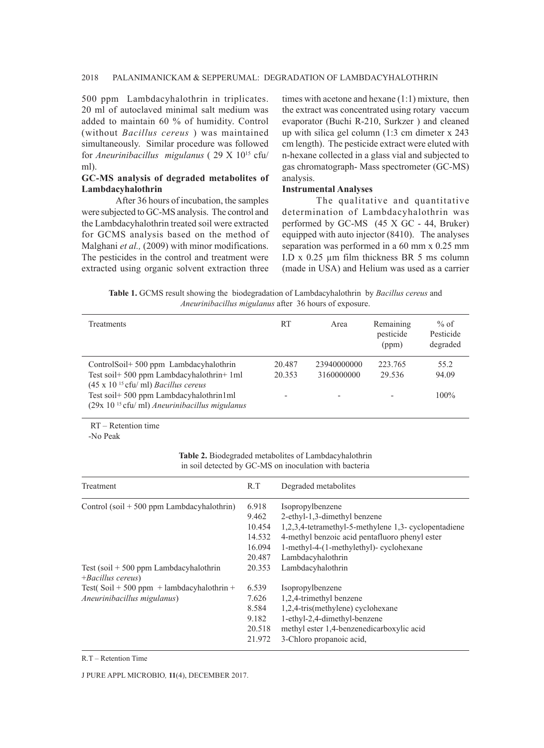#### 2018 PALANIMANICKAM & SEPPERUMAL: DEGRADATION OF LAMBDACYHALOTHRIN

500 ppm Lambdacyhalothrin in triplicates. 20 ml of autoclaved minimal salt medium was added to maintain 60 % of humidity. Control (without *Bacillus cereus* ) was maintained simultaneously. Similar procedure was followed for *Aneurinibacillus migulanus* ( 29 X 1015 cfu/ ml).

# **GC-MS analysis of degraded metabolites of Lambdacyhalothrin**

After 36 hours of incubation, the samples were subjected to GC-MS analysis. The control and the Lambdacyhalothrin treated soil were extracted for GCMS analysis based on the method of Malghani *et al.*, (2009) with minor modifications. The pesticides in the control and treatment were extracted using organic solvent extraction three times with acetone and hexane (1:1) mixture, then the extract was concentrated using rotary vaccum evaporator (Buchi R-210, Surkzer ) and cleaned up with silica gel column (1:3 cm dimeter x 243 cm length). The pesticide extract were eluted with n-hexane collected in a glass vial and subjected to gas chromatograph- Mass spectrometer (GC-MS) analysis.

#### **Instrumental Analyses**

The qualitative and quantitative determination of Lambdacyhalothrin was performed by GC-MS (45 X GC - 44, Bruker) equipped with auto injector (8410). The analyses separation was performed in a 60 mm x 0.25 mm I.D x 0.25 µm film thickness BR 5 ms column (made in USA) and Helium was used as a carrier

**Table 1.** GCMS result showing the biodegradation of Lambdacyhalothrin by *Bacillus cereus* and *Aneurinibacillus migulanus* after 36 hours of exposure.

| Treatments                                                                                                                                                                                                                              | RT                    | Area                      | Remaining<br>pesticide<br>(ppm) | $%$ of<br>Pesticide<br>degraded |
|-----------------------------------------------------------------------------------------------------------------------------------------------------------------------------------------------------------------------------------------|-----------------------|---------------------------|---------------------------------|---------------------------------|
| ControlSoil+500 ppm Lambdacyhalothrin<br>Test soil+ 500 ppm Lambdacyhalothrin+ 1ml<br>$(45 \times 10^{15}$ cfu/ml) <i>Bacillus cereus</i><br>Test soil + 500 ppm Lambdacyhalothrin1ml<br>$(29x 1015$ cfu/ml) Aneurinibacillus migulanus | 20.487<br>20.353<br>- | 23940000000<br>3160000000 | 223.765<br>29.536               | 55.2<br>94.09<br>$100\%$        |

RT – Retention time

-No Peak

**Table 2.** Biodegraded metabolites of Lambdacyhalothrin in soil detected by GC-MS on inoculation with bacteria

| Treatment                                                                | R.T    | Degraded metabolites                                 |  |
|--------------------------------------------------------------------------|--------|------------------------------------------------------|--|
| Control $(soil + 500 ppm$ Lambdacyhalothrin)                             | 6.918  | Isopropylbenzene                                     |  |
|                                                                          | 9.462  | 2-ethyl-1,3-dimethyl benzene                         |  |
|                                                                          | 10.454 | 1,2,3,4-tetramethyl-5-methylene 1,3- cyclopentadiene |  |
|                                                                          | 14.532 | 4-methyl benzoic acid pentafluoro phenyl ester       |  |
|                                                                          | 16.094 | 1-methyl-4-(1-methylethyl)- cyclohexane              |  |
|                                                                          | 20.487 | Lambdacyhalothrin                                    |  |
| Test $(soil + 500 ppm$ Lambdacyhalothrin<br>$+$ <i>Bacillus cereus</i> ) | 20.353 | Lambdacyhalothrin                                    |  |
| Test( $\text{Soil} + 500 \text{ ppm} + \text{lambda}}$ cyhalothrin +     | 6.539  | Isopropylbenzene                                     |  |
| Aneurinibacillus migulanus)                                              | 7.626  | 1,2,4-trimethyl benzene                              |  |
|                                                                          | 8.584  | 1,2,4-tris(methylene) cyclohexane                    |  |
|                                                                          | 9.182  | 1-ethyl-2,4-dimethyl-benzene                         |  |
|                                                                          | 20.518 | methyl ester 1,4-benzenedicarboxylic acid            |  |
|                                                                          | 21.972 | 3-Chloro propanoic acid,                             |  |

R.T – Retention Time

J PURE APPL MICROBIO*,* **11**(4), DECEMBER 2017.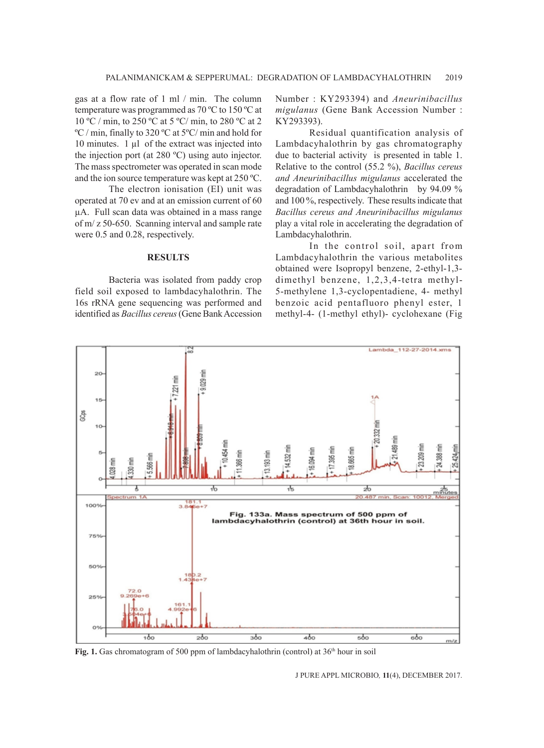gas at a flow rate of 1 ml / min. The column temperature was programmed as 70 ºC to 150 ºC at 10 ºC / min, to 250 ºC at 5 ºC/ min, to 280 ºC at 2 ºC / min, finally to 320 ºC at 5ºC/ min and hold for 10 minutes. 1 µl of the extract was injected into the injection port (at 280 ºC) using auto injector. The mass spectrometer was operated in scan mode and the ion source temperature was kept at 250 ºC.

The electron ionisation (EI) unit was operated at 70 ev and at an emission current of 60 µA. Full scan data was obtained in a mass range of m/ z 50-650. Scanning interval and sample rate were 0.5 and 0.28, respectively.

## **RESULTS**

Bacteria was isolated from paddy crop field soil exposed to lambdacyhalothrin. The 16s rRNA gene sequencing was performed and identified as *Bacillus cereus* (Gene Bank Accession

Number : KY293394) and *Aneurinibacillus migulanus* (Gene Bank Accession Number : KY293393).

Residual quantification analysis of Lambdacyhalothrin by gas chromatography due to bacterial activity is presented in table 1. Relative to the control (55.2 %), *Bacillus cereus and Aneurinibacillus migulanus* accelerated the degradation of Lambdacyhalothrin by 94.09 % and 100 %, respectively. These results indicate that *Bacillus cereus and Aneurinibacillus migulanus* play a vital role in accelerating the degradation of Lambdacyhalothrin.

In the control soil, apart from Lambdacyhalothrin the various metabolites obtained were Isopropyl benzene, 2-ethyl-1,3 dimethyl benzene, 1,2,3,4-tetra methyl-5-methylene 1,3-cyclopentadiene, 4- methyl benzoic acid pentafluoro phenyl ester, 1 methyl-4- (1-methyl ethyl)- cyclohexane (Fig



Fig. 1. Gas chromatogram of 500 ppm of lambdacyhalothrin (control) at 36<sup>th</sup> hour in soil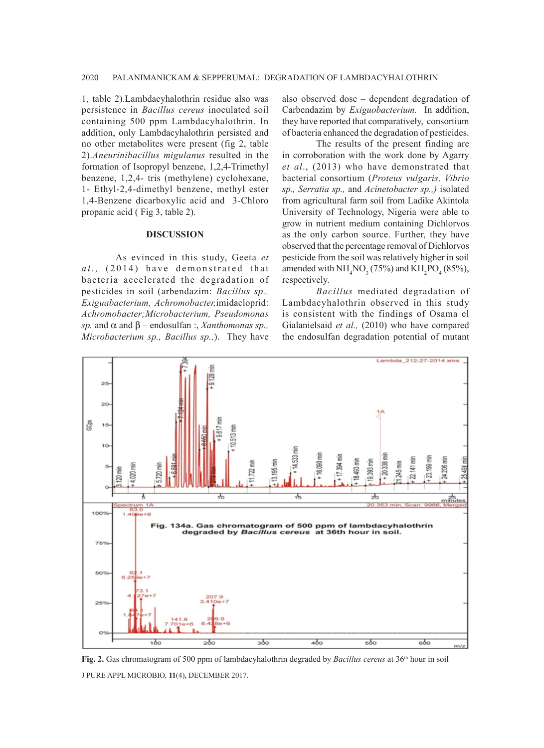1, table 2).Lambdacyhalothrin residue also was persistence in *Bacillus cereus* inoculated soil containing 500 ppm Lambdacyhalothrin. In addition, only Lambdacyhalothrin persisted and no other metabolites were present (fig 2, table 2).*Aneurinibacillus migulanus* resulted in the formation of Isopropyl benzene, 1,2,4-Trimethyl benzene, 1,2,4- tris (methylene) cyclohexane, 1- Ethyl-2,4-dimethyl benzene, methyl ester 1,4-Benzene dicarboxylic acid and 3-Chloro propanic acid ( Fig 3, table 2).

#### **DISCUSSION**

As evinced in this study, Geeta *et al.*, (2014) have demonstrated that bacteria accelerated the degradation of pesticides in soil (arbendazim: *Bacillus sp., Exiguabacterium, Achromobacter,*imidacloprid: *Achromobacter;Microbacterium, Pseudomonas sp.* and  $\alpha$  and  $\beta$  – endosulfan : *Xanthomonas sp.*, *Microbacterium sp., Bacillus sp.,*). They have

also observed dose – dependent degradation of Carbendazim by *Exiguobacterium.* In addition, they have reported that comparatively, consortium of bacteria enhanced the degradation of pesticides.

The results of the present finding are in corroboration with the work done by Agarry *et al*., (2013) who have demonstrated that bacterial consortium (*Proteus vulgaris, Vibrio sp., Serratia sp.,* and *Acinetobacter sp.,)* isolated from agricultural farm soil from Ladike Akintola University of Technology, Nigeria were able to grow in nutrient medium containing Dichlorvos as the only carbon source. Further, they have observed that the percentage removal of Dichlorvos pesticide from the soil was relatively higher in soil amended with  $NH<sub>4</sub>NO<sub>3</sub>$  (75%) and  $KH<sub>2</sub>PO<sub>4</sub>$  (85%), respectively.

*Bacillus* mediated degradation of Lambdacyhalothrin observed in this study is consistent with the findings of Osama el Gialanielsaid *et al.,* (2010) who have compared the endosulfan degradation potential of mutant



J PURE APPL MICROBIO*,* **11**(4), DECEMBER 2017. **Fig. 2.** Gas chromatogram of 500 ppm of lambdacyhalothrin degraded by *Bacillus cereus* at 36<sup>th</sup> hour in soil